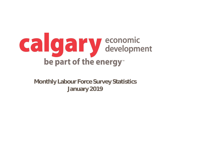

**Monthly Labour Force Survey Statistics January 2019**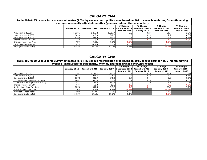| Table 282-0135 Labour force survey estimates (LFS), by census metropolitan area based on 2011 census boundaries, 3-month moving |              |               |         |                                                              |                                             |                                                   |                                                   |  |  |  |
|---------------------------------------------------------------------------------------------------------------------------------|--------------|---------------|---------|--------------------------------------------------------------|---------------------------------------------|---------------------------------------------------|---------------------------------------------------|--|--|--|
| average, seasonally adjusted, monthly (persons unless otherwise noted)                                                          |              |               |         |                                                              |                                             |                                                   |                                                   |  |  |  |
|                                                                                                                                 | January 2018 | December 2018 |         | # Change<br>January 2019   December 2018  <br>- January 2019 | % Change<br>December 2018 -<br>January 2019 | # Change<br><b>January 2018 -</b><br>January 2019 | % Change<br><b>January 2018 -</b><br>January 2019 |  |  |  |
| Population $(x 1,000)$                                                                                                          | 1,230.7      | 1,255.2       | 1,257.4 |                                                              | 0.2%                                        | 26.7                                              | 2.2%                                              |  |  |  |
| Labour force $(x 1,000)$                                                                                                        | 909.6        | 910.8         | 912.3   |                                                              | 0.2%                                        | 2.7                                               | 0.3%                                              |  |  |  |
| Employment $(x 1,000)$                                                                                                          | 838.6        | 842.6         | 845.5   | 2.9                                                          | 0.3%                                        | 6.9                                               | 0.8%                                              |  |  |  |
| Unemployment $(x 1,000)$                                                                                                        | 71.0         | 68.2          | 66.8    |                                                              | $-2.1%$                                     | -4.7                                              | $-5.9%$                                           |  |  |  |
| Unemployment rate (rate)                                                                                                        | 7.8%         | 7.5%          | 7.3%    | $-0.2%$                                                      |                                             | $-0.5%$                                           |                                                   |  |  |  |
| Participation rate (rate)                                                                                                       | 73.9%        | 72.6%         | 72.6%   | 0.0%                                                         |                                             | $-1.3%$                                           |                                                   |  |  |  |
| Employment rate (rate)                                                                                                          | 68.1%        | 67.1%         | 67.2%   | $0.1\%$                                                      |                                             | $-0.9%$                                           |                                                   |  |  |  |

| Table 282-0128 Labour force survey estimates (LFS), by census metropolitan area based on 2011 census boundaries, 3-month moving<br>average, unadjusted for seasonality, monthly (persons unless otherwise noted) |              |               |              |                                             |                                             |                                                   |                                                   |  |
|------------------------------------------------------------------------------------------------------------------------------------------------------------------------------------------------------------------|--------------|---------------|--------------|---------------------------------------------|---------------------------------------------|---------------------------------------------------|---------------------------------------------------|--|
|                                                                                                                                                                                                                  | January 2018 | December 2018 | January 2019 | # Change<br>December 2018<br>- January 2019 | % Change<br>December 2018 -<br>January 2019 | # Change<br><b>January 2018 -</b><br>January 2019 | % Change<br><b>January 2018 -</b><br>January 2019 |  |
| Population $(x 1,000)$                                                                                                                                                                                           | L,230.7      | 1,255.2       | 1,257.4      |                                             | 0.2%                                        | 26.7                                              | 2.2%                                              |  |
| Labour force $(x 1,000)$                                                                                                                                                                                         | 905.2        | 905.7         | 908.4        | 2.7                                         | 0.3%                                        | 3.2                                               | 0.4%                                              |  |
| Employment $(x 1,000)$                                                                                                                                                                                           | 837.8        | 841.9         | 845.6        | 3.7                                         | 0.4%                                        | 7.8                                               | 0.9%                                              |  |
| Full-time employment $(x 1,000)$                                                                                                                                                                                 | 680.1        | 680.4         | 682.1        |                                             | 0.2%                                        | 2.0                                               | 0.3%                                              |  |
| Part-time employment (x 1,000)                                                                                                                                                                                   | 157.7        | 161.5         | 163.5        | 2.0                                         | 1.2%                                        | 5.8                                               | 3.7%                                              |  |
| Unemployment $(x 1,000)$                                                                                                                                                                                         | 67.4         | 63.8          | 62.8         | $-1.0$                                      | $-1.6%$                                     | $-4.6$                                            | $-6.8%$                                           |  |
| Not in labour force $(x 1,000)$                                                                                                                                                                                  | 325.6        | 349.5         | 349.0        | $-0.5$                                      | $-0.1%$                                     | 23.4                                              | 7.2%                                              |  |
| Unemployment rate (rate)                                                                                                                                                                                         | 7.4%         | 7.0%          | 6.9%         | $-0.1%$                                     |                                             | $-0.5%$                                           |                                                   |  |
| Participation rate (rate)                                                                                                                                                                                        | 73.6%        | 72.2%         | 72.2%        | $0.0\%$                                     |                                             | $-1.4%$                                           |                                                   |  |
| Employment rate (rate)                                                                                                                                                                                           | 68.1%        | 67.1%         | 67.2%        | $0.1\%$                                     |                                             | $-0.9%$                                           |                                                   |  |

## **CALGARY CMA**

## **CALGARY CMA**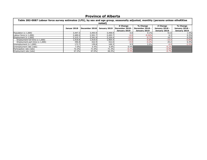| Table 282-0087 Labour force survey estimates (LFS), by sex and age group, seasonally adjusted, monthly (persons unless otheRXise |             |               |              |                                             |                                             |                                                   |                                                   |  |  |  |
|----------------------------------------------------------------------------------------------------------------------------------|-------------|---------------|--------------|---------------------------------------------|---------------------------------------------|---------------------------------------------------|---------------------------------------------------|--|--|--|
| noted)                                                                                                                           |             |               |              |                                             |                                             |                                                   |                                                   |  |  |  |
|                                                                                                                                  | Januar 2018 | December 2018 | January 2019 | # Change<br>December 2018 -<br>January 2019 | % Change<br>December 2018 -<br>January 2019 | # Change<br><b>January 2018 -</b><br>January 2019 | % Change<br><b>January 2018 -</b><br>January 2019 |  |  |  |
| Population (x 1,000)                                                                                                             | 3,447.3     | 3,493.9       | 3,498.9      | 5.0                                         | 0.1%                                        | 51.6                                              | 1.5%                                              |  |  |  |
| Labour force $(x 1,000)$                                                                                                         | 2,489.4     | 2,501.7       | 2,495.7      | $-6.0$                                      | $-0.24%$                                    | 6.3                                               | 0.3%                                              |  |  |  |
| Employment $(x 1,000)$                                                                                                           | 2,315.7     | 2,341.9       | 2,326.4      | $-15.5$                                     | $-0.7%$                                     | 10.7                                              | 0.5%                                              |  |  |  |
| Employment full-time (x 1,000)                                                                                                   | 1,918.8     | 1,919.0       | 1,904.4      | $-14.6$                                     | $-0.8%$                                     | $-14.4$                                           | $-0.8%$                                           |  |  |  |
| Employment part-time $(x 1,000)$                                                                                                 | 396.8       | 422.9         | 422.0        | $-0.9$                                      | $-0.2%$                                     | 25.2                                              | 6.4%                                              |  |  |  |
| Unemployment (x 1,000)                                                                                                           | 173.7       | 159.8         | 169.3        | 9.5                                         | 5.9%                                        | $-4.4$                                            | $-2.5%$                                           |  |  |  |
| Unemployment rate (rate)                                                                                                         | 7.0%        | 6.4%          | 6.8%         | 0.4%                                        |                                             | $-0.2%$                                           |                                                   |  |  |  |
| Participation rate (rate)                                                                                                        | 72.2%       | 71.6%         | 71.3%        | $-0.3%$                                     |                                             | $-0.9%$                                           |                                                   |  |  |  |
| Employment rate (rate)                                                                                                           | 67.2%       | 67.0%         | 66.5%        | $-0.5%$                                     |                                             | $-0.7\%$                                          |                                                   |  |  |  |

# **Province of Alberta**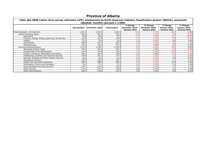| Table 282-0088 Labour force survey estimates (LFS), employment by North American Industry Classification System (NAICS), seasonally<br>adjusted, monthly (persons x 1,000) |              |               |              |                                             |                                             |                                                   |                                                   |  |
|----------------------------------------------------------------------------------------------------------------------------------------------------------------------------|--------------|---------------|--------------|---------------------------------------------|---------------------------------------------|---------------------------------------------------|---------------------------------------------------|--|
|                                                                                                                                                                            | January 2017 | December 2018 | January 2019 | # Change<br>December 2018 -<br>January 2019 | % Change<br>December 2018 -<br>January 2019 | # Change<br><b>January 2018 -</b><br>January 2019 | % Change<br><b>January 2018 -</b><br>January 2019 |  |
| Total Employed - All Industries                                                                                                                                            | 2,315.7      | 2,341.9       | 2,326.4      | $-15.5$                                     | $-0.7%$                                     | 10.7                                              | 0.5%                                              |  |
| Goods-Producing Sector                                                                                                                                                     | 594.3        | 601.2         | 591.9        | $-9.3$                                      | $-1.5%$                                     | $-2.4$                                            | $-0.4%$                                           |  |
| Agriculture                                                                                                                                                                | 50.8         | 48.4          | 45.7         | $-2.7$                                      | $-5.6%$                                     | $-5.1$                                            | $-10.0%$                                          |  |
| Forestry, Fishing, Mining, Quarrying, Oil and Gas                                                                                                                          | 152.5        | 151.6         | 149.5        | $-2.1$                                      | $-1.4%$                                     | $-3.0$                                            | $-2.0%$                                           |  |
| <b>Utilities</b>                                                                                                                                                           | 21.3         | 23.8          | 21.9         | $-1.9$                                      | $-8.0%$                                     | 0.6                                               | 2.8%                                              |  |
| Construction                                                                                                                                                               | 240.4        | 241.2         | 237.5        | $-3.7$                                      | $-1.5%$                                     | $-2.9$                                            | $-1.2%$                                           |  |
| Manufacturing                                                                                                                                                              | 129.2        | 136.3         | 137.4        | 1.1                                         | 0.8%                                        | 8.2                                               | 6.3%                                              |  |
| Services-Producing Sector                                                                                                                                                  | 1,721.4      | 1,740.7       | .,734.5      | $-6.2$                                      | $-0.4%$                                     | 13.1                                              | 0.8%                                              |  |
| Wholesale & Retail Trade                                                                                                                                                   | 335.3        | 325.0         | 332.7        | 7.7                                         | 2.4%                                        | $-2.6$                                            | $-0.8%$                                           |  |
| Transportation and Warehousing                                                                                                                                             | 144.6        | 139.8         | 134.4        | $-5.4$                                      | $-3.9%$                                     | $-10.2$                                           | $-7.1%$                                           |  |
| Finance, Insurance, Real Estate and Leasing                                                                                                                                | 109.7        | 102.9         | 105.0        | 2.1                                         | 2.0%                                        | $-4.7$                                            | $-4.3%$                                           |  |
| Professional, Scientific and Technical Services                                                                                                                            | 178.9        | 181.3         | 177.4        | $-3.9$                                      | $-2.2%$                                     | $-1.5$                                            | $-0.8%$                                           |  |
| Business, Building and Other Support Services                                                                                                                              | 84.2         | 92.4          | 92.2         | $-0.2$                                      | $-0.2%$                                     | 8.0                                               | 9.5%                                              |  |
| <b>Educational Services</b>                                                                                                                                                | 155.3        | 154.3         | 154.1        | $-0.2$                                      | $-0.1%$                                     | $-1.2$                                            | $-0.8%$                                           |  |
| Health Care and Social Assistance                                                                                                                                          | 269.4        | 289.5         | 285.3        | $-4.2$                                      | $-1.5%$                                     | 15.9                                              | 5.9%                                              |  |
| Information, Culture and Recreation                                                                                                                                        | 75.7         | 77.3          | 77.1         | $-0.2$                                      | $-0.3%$                                     | 1.4                                               | 1.8%                                              |  |
| Accommodation and Food Services                                                                                                                                            | 149.7        | 149.4         | 144.2        | $-5.2$                                      | $-3.5%$                                     | $-5.5$                                            | $-3.7%$                                           |  |
| <b>Other Services</b>                                                                                                                                                      | 114.4        | 118.1         | 118.9        | 0.8                                         | 0.7%                                        | 4.5                                               | 3.9%                                              |  |
| <b>Public Administration</b>                                                                                                                                               | 104.2        | 110.6         | 113.1        | 2.5                                         | 2.3%                                        | 8.9                                               | 8.5%                                              |  |

# **Province of Alberta**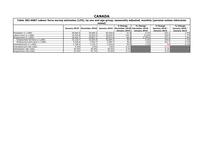## **CANADA**

| Table 282-0087 Labour force survey estimates (LFS), by sex and age group, seasonally adjusted, monthly (persons unless otherwise<br>noted) |              |               |              |                                             |                                             |                                                   |                                                   |  |  |
|--------------------------------------------------------------------------------------------------------------------------------------------|--------------|---------------|--------------|---------------------------------------------|---------------------------------------------|---------------------------------------------------|---------------------------------------------------|--|--|
|                                                                                                                                            | January 2018 | December 2018 | January 2019 | # Change<br>December 2018<br>- January 2019 | % Change<br>December 2018 -<br>January 2019 | # Change<br><b>January 2018 -</b><br>January 2019 | % Change<br><b>January 2018 -</b><br>January 2019 |  |  |
| Population (x 1,000)                                                                                                                       | 30,094.5     | 30,485.2      | 30,526.6     | 41.4                                        | 0.1%                                        | 432.1                                             | 1.4%                                              |  |  |
| Labour force $(x 1,000)$                                                                                                                   | 19,705.0     | 19,932.2      | 20,035.9     | 103.7                                       | 0.52%                                       | 330.9                                             | 1.7%                                              |  |  |
| Employment $(x 1,000)$                                                                                                                     | 18,546.7     | 18,807.1      | 18,873.9     | 66.8                                        | 0.355%                                      | 327.2                                             | 1.8%                                              |  |  |
| Employment full-time (x 1,000)                                                                                                             | 15,118.7     | 15,253.4      | 15,284.3     | 30.9                                        | 0.2%                                        | 165.6                                             | 1.1%                                              |  |  |
| Employment part-time $(x 1,000)$                                                                                                           | 3,428.0      | 3,553.7       | 3,589.7      | 36.0                                        | $1.0\%$                                     | 161.7                                             | 4.7%                                              |  |  |
| Unemployment $(x 1,000)$                                                                                                                   | .,158.2      | 1,125.1       | 1,162.0      | 36.9                                        | 3.3%                                        | 3.8                                               | 0.3%                                              |  |  |
| Unemployment rate (rate)                                                                                                                   | 5.9%         | 5.6%          | 5.8%         | $0.2\%$                                     |                                             | $-0.1%$                                           |                                                   |  |  |
| Participation rate (rate)                                                                                                                  | 65.5%        | 65.4%         | 65.6%        | $0.2\%$                                     |                                             | $0.1\%$                                           |                                                   |  |  |
| Employment rate (rate)                                                                                                                     | 61.6%        | 61.7%         | 61.8%        | $0.1\%$                                     |                                             | $0.2\%$                                           |                                                   |  |  |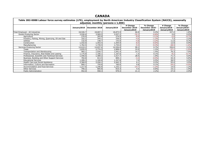## **CANADA**

| Table 282-0088 Labour force survey estimates (LFS), employment by North American Industry Classification System (NAICS), seasonally<br>adjusted, monthly (persons x 1,000) |          |                             |              |                                             |                                             |                                            |                                            |  |
|----------------------------------------------------------------------------------------------------------------------------------------------------------------------------|----------|-----------------------------|--------------|---------------------------------------------|---------------------------------------------|--------------------------------------------|--------------------------------------------|--|
|                                                                                                                                                                            |          | January2018   December 2018 | January 2019 | # Change<br>December 2018 -<br>January 2019 | % Change<br>December 2018 -<br>January 2019 | # Change<br>January 2018 -<br>January 2019 | % Change<br>January 2018 -<br>January 2019 |  |
| Total Employed - All Industries                                                                                                                                            | 18,546.7 | 18,807.1                    | 18,873.9     | 66.8                                        | 0.4%                                        | 327.2                                      | 1.8%                                       |  |
| Goods-Producing Sector                                                                                                                                                     | 3,936.6  | 3,969.5                     | 3,937.2      | $-32.3$                                     | $-0.8%$                                     | 0.6                                        | 0.0%                                       |  |
| Agriculture                                                                                                                                                                | 276.9    | 283.8                       | 274.9        | $-8.9$                                      | $-3.1%$                                     | $-2.0$                                     | $-0.7%$                                    |  |
| Forestry, Fishing, Mining, Quarrying, Oil and Gas                                                                                                                          | 332.2    | 344.1                       | 339.5        | $-4.6$                                      | $-1.3%$                                     | 7.3                                        | 2.2%                                       |  |
| <b>Utilities</b>                                                                                                                                                           | 132.9    | 148.7                       | 143.9        | $-4.8$                                      | $-3.2%$                                     | 11.0                                       | 8.3%                                       |  |
| Construction                                                                                                                                                               | L,432.0  | .,453.4                     | 1,444.9      | $-8.5$                                      | $-0.6%$                                     | 12.9                                       | 0.9%                                       |  |
| Manufacturing                                                                                                                                                              | 1,762.5  | 1,739.5                     | 1,734.0      | $-5.5$                                      | $-0.3%$                                     | $-28.5$                                    | $-1.6%$                                    |  |
| Services-Producing Sector                                                                                                                                                  | 14,610.2 | 14,837.6                    | 14,936.8     | 99.2                                        | 0.7%                                        | 326.6                                      | 2.2%                                       |  |
| Trade                                                                                                                                                                      | 2,835.5  | 2,774.5                     | 2,808.4      | 33.9                                        | 1.2%                                        | $-27.1$                                    | $-1.0%$                                    |  |
| Transportation and Warehousing                                                                                                                                             | 965.1    | .026.7                      | 1,041.4      | 14.7                                        | 1.4%                                        | 76.3                                       | 7.9%                                       |  |
| Finance, Insurance, Real Estate and Leasing                                                                                                                                | 1,175.8  | ,166.1                      | 1,167.6      | 1.5                                         | 0.1%                                        | $-8.2$                                     | $-0.7%$                                    |  |
| Professional, Scientific and Technical Services                                                                                                                            | .446.0   | .,489.2                     | 1,517.7      | 28.5                                        | 1.9%                                        | 71.7                                       | 5.0%                                       |  |
| Business, Building and Other Support Services                                                                                                                              | 764.8    | 813.5                       | 809.1        | $-4.4$                                      | $-0.5%$                                     | 44.3                                       | 5.8%                                       |  |
| <b>Educational Services</b>                                                                                                                                                | 1,289.3  | ,340.8                      | 1,347.8      | 7.0                                         | 0.5%                                        | 58.5                                       | 4.5%                                       |  |
| Health Care and Social Assistance                                                                                                                                          | 2,368.9  | 2,456.2                     | 2,462.3      | 6.1                                         | 0.2%                                        | 93.4                                       | 3.9%                                       |  |
| Information, Culture and Recreation                                                                                                                                        | 800.1    | 759.8                       | 760.6        | 0.8                                         | 0.1%                                        | $-39.5$                                    | $-4.9%$                                    |  |
| Accommodation and Food Services                                                                                                                                            | 1,217.6  | ,246.8                      | ,232.1       | $-14.7$                                     | $-1.2%$                                     | 14.5                                       | 1.2%                                       |  |
| <b>Other Services</b>                                                                                                                                                      | 795.2    | 805.8                       | 810.3        | 4.5                                         | 0.6%                                        | 15.1                                       | 1.9%                                       |  |
| <b>Public Administration</b>                                                                                                                                               | 952.0    | 958.3                       | 979.4        | 21.1                                        | 2.2%                                        | 27.4                                       | 2.9%                                       |  |

# **Table 282-0088 Labour force survey estimates (LFS), employment by North American Industry Classification System (NAICS), seasonally**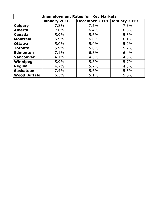| <b>Unemployment Rates for Key Markets</b> |              |               |              |  |  |  |  |
|-------------------------------------------|--------------|---------------|--------------|--|--|--|--|
|                                           | January 2018 | December 2018 | January 2019 |  |  |  |  |
| <b>Calgary</b>                            | 7.8%         | 7.5%          | 7.3%         |  |  |  |  |
| Alberta                                   | 7.0%         | 6.4%          | 6.8%         |  |  |  |  |
| <b>Canada</b>                             | 5.9%         | 5.6%          | 5.8%         |  |  |  |  |
| Montreal                                  | 5.9%         | 6.0%          | 6.1%         |  |  |  |  |
| <b>Ottawa</b>                             | 5.0%         | 5.0%          | 5.2%         |  |  |  |  |
| <b>Toronto</b>                            | 5.9%         | 5.0%          | 5.2%         |  |  |  |  |
| Edmonton                                  | 7.1%         | 6.3%          | 6.4%         |  |  |  |  |
| Vancouver                                 | 4.1%         | 4.5%          | 4.8%         |  |  |  |  |
| Winnipeg                                  | 5.9%         | 5.8%          | 5.7%         |  |  |  |  |
| Regina                                    | 4.7%         | 5.7%          | 4.8%         |  |  |  |  |
| Saskatoon                                 | 7.4%         | 5.6%          | 5.8%         |  |  |  |  |
| <b>Wood Buffalo</b>                       | 6.3%         | 5.1%          | 5.6%         |  |  |  |  |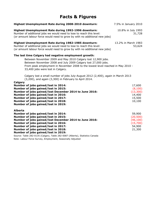# **Facts & Figures**

| Highest Unemployment Rate during 2008-2010 downturn:                                                                                                                                                                                                                                                                                                                                               | 7.5% in January 2010                                             |
|----------------------------------------------------------------------------------------------------------------------------------------------------------------------------------------------------------------------------------------------------------------------------------------------------------------------------------------------------------------------------------------------------|------------------------------------------------------------------|
| Highest Unemployment Rate during 1992-1996 downturn:<br>Number of additional jobs we would need to lose to reach this level:<br>(or amount labour force would need to grow by with no additional new jobs)                                                                                                                                                                                         | 10.8% in July 1993<br>31,728                                     |
| Highest Unemployment Rate during 1982-1985 downturn:<br>Number of additional jobs we would need to lose to reach this level:<br>(or amount labour force would need to grow by with no additional new jobs)                                                                                                                                                                                         | 13.2% in March 1983<br>53,624                                    |
| The last time Calgary had negative employment growth:<br>Between November 2009 and May 2010 Calgary lost 12,900 jobs.<br>Between November 2008 and July 2009 Calgary lost 27,000 jobs.<br>From peak employment in November 2008 to the lowest level reached in May 2010 -<br>33,400 jobs were lost in Calgary.                                                                                     |                                                                  |
| Calgary lost a small number of jobs July-August 2012 (2,400), again in March 2013<br>(3,200), and again (3,300) in February to April 2014.<br>Calgary                                                                                                                                                                                                                                              |                                                                  |
| Number of jobs gained/lost in 2014:<br>Number of jobs gained/lost in 2015:<br>Number of jobs gained/lost December 2014 to June 2016:<br>Number of jobs gained/lost in 2016:<br>Number of jobs gained/lost in 2017:<br>Number of jobs gained/lost in 2018:<br>Number of jobs gained/lost in 2019:                                                                                                   | 17,600<br>(8, 100)<br>(13, 300)<br>14,400<br>15,500<br>10,100    |
| <b>Alberta</b><br>Number of jobs gained/lost in 2014:<br>Number of jobs gained/lost in 2015:<br>Number of jobs gained/lost December 2014 to June 2016:<br>Number of jobs gained/lost in 2016:<br>Number of jobs gained/lost in 2017:<br>Number of jobs gained/lost in 2018:<br>Number of jobs gained/lost in 2019:<br>Source: Table 282-0135 (Calgary, Table 282-0087 (Alberta), Statistics Canada | 59,900<br>(20, 500)<br>(46, 100)<br>(15,700)<br>54,900<br>21,300 |

Note: Labour Force Survey, Employment, Seasonally Adjusted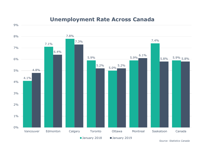## **Unemployment Rate Across Canada**

9%



*Source: Statistics Canada*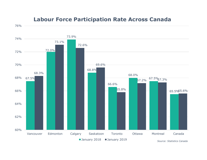## **Labour Force Participation Rate Across Canada**

76%

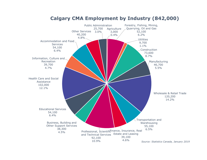

## **Calgary CMA Employment by Industry (842,000)**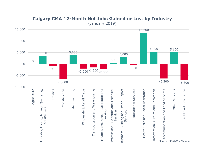

## **Calgary CMA 12-Month Net Jobs Gained or Lost by Industry**

(January 2019)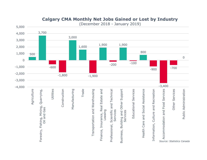

### **Calgary CMA Monthly Net Jobs Gained or Lost by Industry**

(December 2018 - January 2019)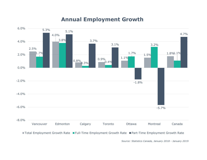## **Annual Employment Growth**



*Source: Statistics Canada, January 2018 - January 2019*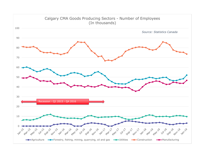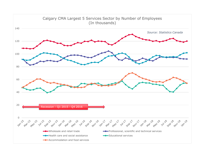